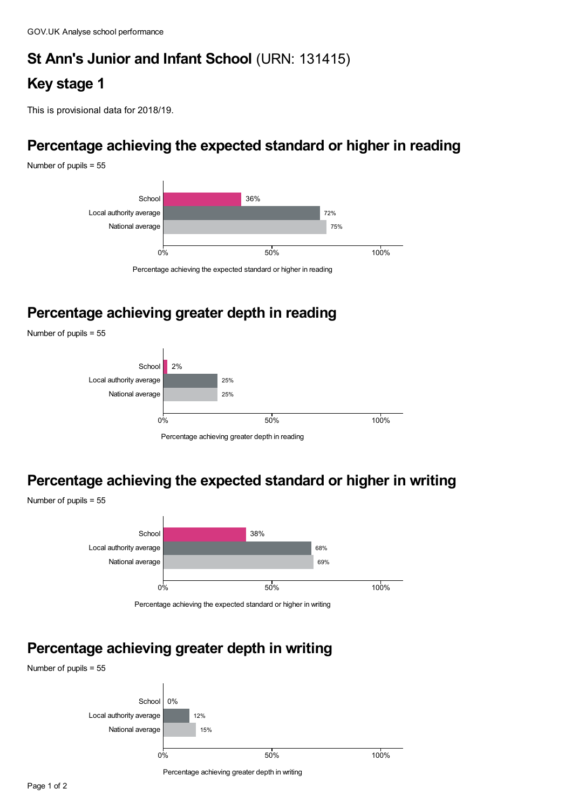# **St Ann's Junior and Infant School** (URN: 131415)

# **Key stage 1**

This is provisional data for 2018/19.

## **Percentage achieving the expected standard or higher in reading**

Number of pupils = 55



### **Percentage achieving greater depth in reading**

Number of pupils = 55

Number of pupils = 55



#### **Percentage achieving the expected standard or higher in writing**



Percentage achieving the expected standard or higher in writing

### **Percentage achieving greater depth in writing**

Number of pupils = 55